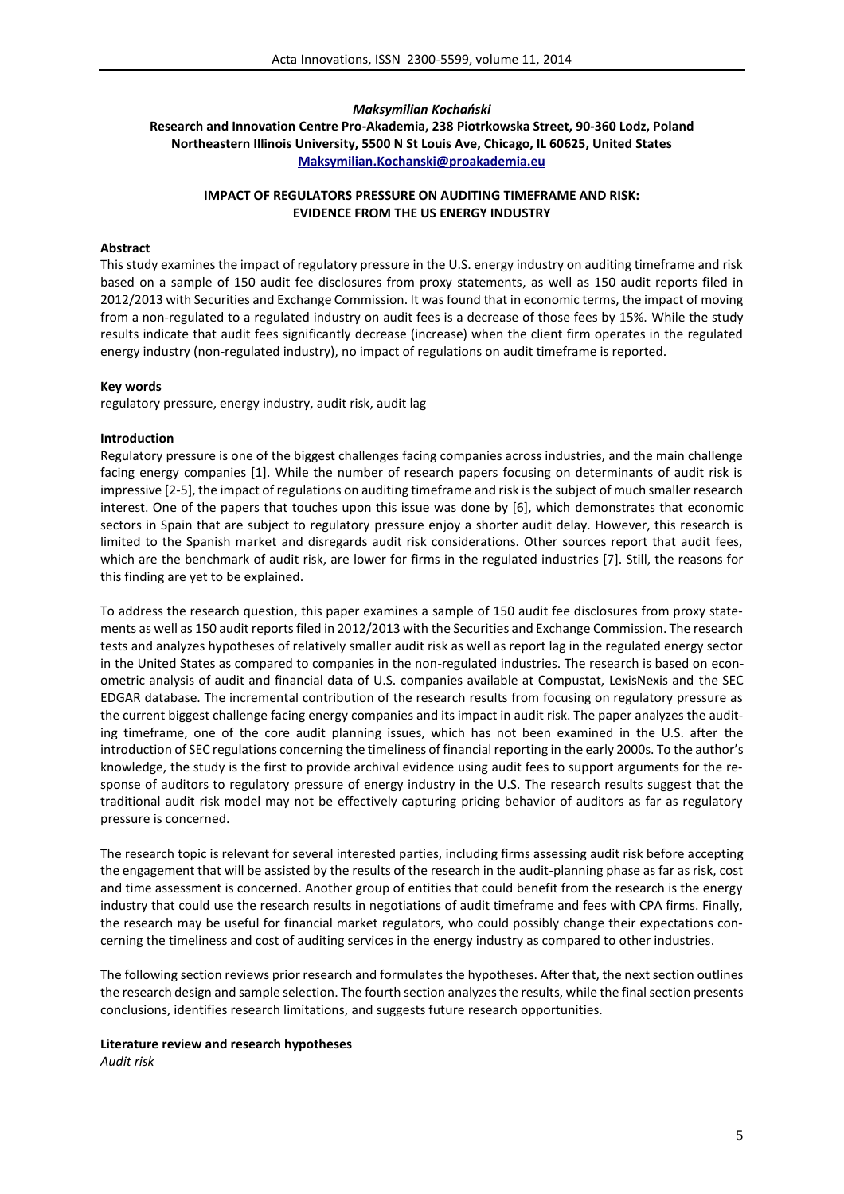## *Maksymilian Kochański*

**Research and Innovation Centre Pro-Akademia, 238 Piotrkowska Street, 90-360 Lodz, Poland Northeastern Illinois University, 5500 N St Louis Ave, Chicago, IL 60625, United States Maksymilian.Kochanski@proakademia.eu**

## **IMPACT OF REGULATORS PRESSURE ON AUDITING TIMEFRAME AND RISK: EVIDENCE FROM THE US ENERGY INDUSTRY**

## **Abstract**

This study examines the impact of regulatory pressure in the U.S. energy industry on auditing timeframe and risk based on a sample of 150 audit fee disclosures from proxy statements, as well as 150 audit reports filed in 2012/2013 with Securities and Exchange Commission. It was found that in economic terms, the impact of moving from a non-regulated to a regulated industry on audit fees is a decrease of those fees by 15%. While the study results indicate that audit fees significantly decrease (increase) when the client firm operates in the regulated energy industry (non-regulated industry), no impact of regulations on audit timeframe is reported.

## **Key words**

regulatory pressure, energy industry, audit risk, audit lag

## **Introduction**

Regulatory pressure is one of the biggest challenges facing companies across industries, and the main challenge facing energy companies [1]. While the number of research papers focusing on determinants of audit risk is impressive [2-5], the impact of regulations on auditing timeframe and risk is the subject of much smaller research interest. One of the papers that touches upon this issue was done by [6], which demonstrates that economic sectors in Spain that are subject to regulatory pressure enjoy a shorter audit delay. However, this research is limited to the Spanish market and disregards audit risk considerations. Other sources report that audit fees, which are the benchmark of audit risk, are lower for firms in the regulated industries [7]. Still, the reasons for this finding are yet to be explained.

To address the research question, this paper examines a sample of 150 audit fee disclosures from proxy statements as well as 150 audit reports filed in 2012/2013 with the Securities and Exchange Commission. The research tests and analyzes hypotheses of relatively smaller audit risk as well as report lag in the regulated energy sector in the United States as compared to companies in the non-regulated industries. The research is based on econometric analysis of audit and financial data of U.S. companies available at Compustat, LexisNexis and the SEC EDGAR database. The incremental contribution of the research results from focusing on regulatory pressure as the current biggest challenge facing energy companies and its impact in audit risk. The paper analyzes the auditing timeframe, one of the core audit planning issues, which has not been examined in the U.S. after the introduction of SEC regulations concerning the timeliness of financial reporting in the early 2000s. To the author's knowledge, the study is the first to provide archival evidence using audit fees to support arguments for the response of auditors to regulatory pressure of energy industry in the U.S. The research results suggest that the traditional audit risk model may not be effectively capturing pricing behavior of auditors as far as regulatory pressure is concerned.

The research topic is relevant for several interested parties, including firms assessing audit risk before accepting the engagement that will be assisted by the results of the research in the audit-planning phase as far as risk, cost and time assessment is concerned. Another group of entities that could benefit from the research is the energy industry that could use the research results in negotiations of audit timeframe and fees with CPA firms. Finally, the research may be useful for financial market regulators, who could possibly change their expectations concerning the timeliness and cost of auditing services in the energy industry as compared to other industries.

The following section reviews prior research and formulates the hypotheses. After that, the next section outlines the research design and sample selection. The fourth section analyzes the results, while the final section presents conclusions, identifies research limitations, and suggests future research opportunities.

# **Literature review and research hypotheses**

*Audit risk*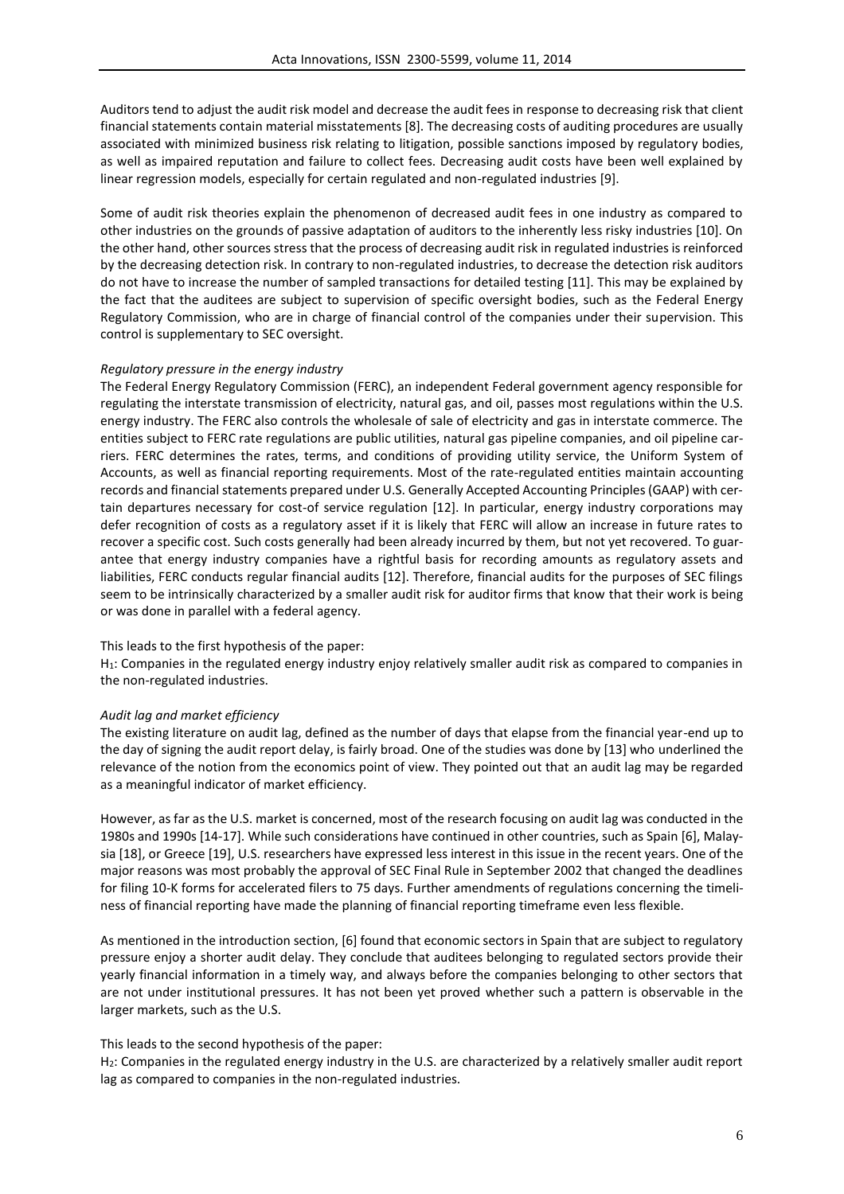Auditors tend to adjust the audit risk model and decrease the audit fees in response to decreasing risk that client financial statements contain material misstatements [8]. The decreasing costs of auditing procedures are usually associated with minimized business risk relating to litigation, possible sanctions imposed by regulatory bodies, as well as impaired reputation and failure to collect fees. Decreasing audit costs have been well explained by linear regression models, especially for certain regulated and non-regulated industries [9].

Some of audit risk theories explain the phenomenon of decreased audit fees in one industry as compared to other industries on the grounds of passive adaptation of auditors to the inherently less risky industries [10]. On the other hand, other sources stress that the process of decreasing audit risk in regulated industries is reinforced by the decreasing detection risk. In contrary to non-regulated industries, to decrease the detection risk auditors do not have to increase the number of sampled transactions for detailed testing [11]. This may be explained by the fact that the auditees are subject to supervision of specific oversight bodies, such as the Federal Energy Regulatory Commission, who are in charge of financial control of the companies under their supervision. This control is supplementary to SEC oversight.

## *Regulatory pressure in the energy industry*

The Federal Energy Regulatory Commission (FERC), an independent Federal government agency responsible for regulating the interstate transmission of electricity, natural gas, and oil, passes most regulations within the U.S. energy industry. The FERC also controls the wholesale of sale of electricity and gas in interstate commerce. The entities subject to FERC rate regulations are public utilities, natural gas pipeline companies, and oil pipeline carriers. FERC determines the rates, terms, and conditions of providing utility service, the Uniform System of Accounts, as well as financial reporting requirements. Most of the rate-regulated entities maintain accounting records and financial statements prepared under U.S. Generally Accepted Accounting Principles (GAAP) with certain departures necessary for cost-of service regulation [12]. In particular, energy industry corporations may defer recognition of costs as a regulatory asset if it is likely that FERC will allow an increase in future rates to recover a specific cost. Such costs generally had been already incurred by them, but not yet recovered. To guarantee that energy industry companies have a rightful basis for recording amounts as regulatory assets and liabilities, FERC conducts regular financial audits [12]. Therefore, financial audits for the purposes of SEC filings seem to be intrinsically characterized by a smaller audit risk for auditor firms that know that their work is being or was done in parallel with a federal agency.

#### This leads to the first hypothesis of the paper:

H<sub>1</sub>: Companies in the regulated energy industry enjoy relatively smaller audit risk as compared to companies in the non-regulated industries.

#### *Audit lag and market efficiency*

The existing literature on audit lag, defined as the number of days that elapse from the financial year-end up to the day of signing the audit report delay, is fairly broad. One of the studies was done by [13] who underlined the relevance of the notion from the economics point of view. They pointed out that an audit lag may be regarded as a meaningful indicator of market efficiency.

However, as far as the U.S. market is concerned, most of the research focusing on audit lag was conducted in the 1980s and 1990s [14-17]. While such considerations have continued in other countries, such as Spain [6], Malaysia [18], or Greece [19], U.S. researchers have expressed less interest in this issue in the recent years. One of the major reasons was most probably the approval of SEC Final Rule in September 2002 that changed the deadlines for filing 10-K forms for accelerated filers to 75 days. Further amendments of regulations concerning the timeliness of financial reporting have made the planning of financial reporting timeframe even less flexible.

As mentioned in the introduction section, [6] found that economic sectors in Spain that are subject to regulatory pressure enjoy a shorter audit delay. They conclude that auditees belonging to regulated sectors provide their yearly financial information in a timely way, and always before the companies belonging to other sectors that are not under institutional pressures. It has not been yet proved whether such a pattern is observable in the larger markets, such as the U.S.

#### This leads to the second hypothesis of the paper:

H2: Companies in the regulated energy industry in the U.S. are characterized by a relatively smaller audit report lag as compared to companies in the non-regulated industries.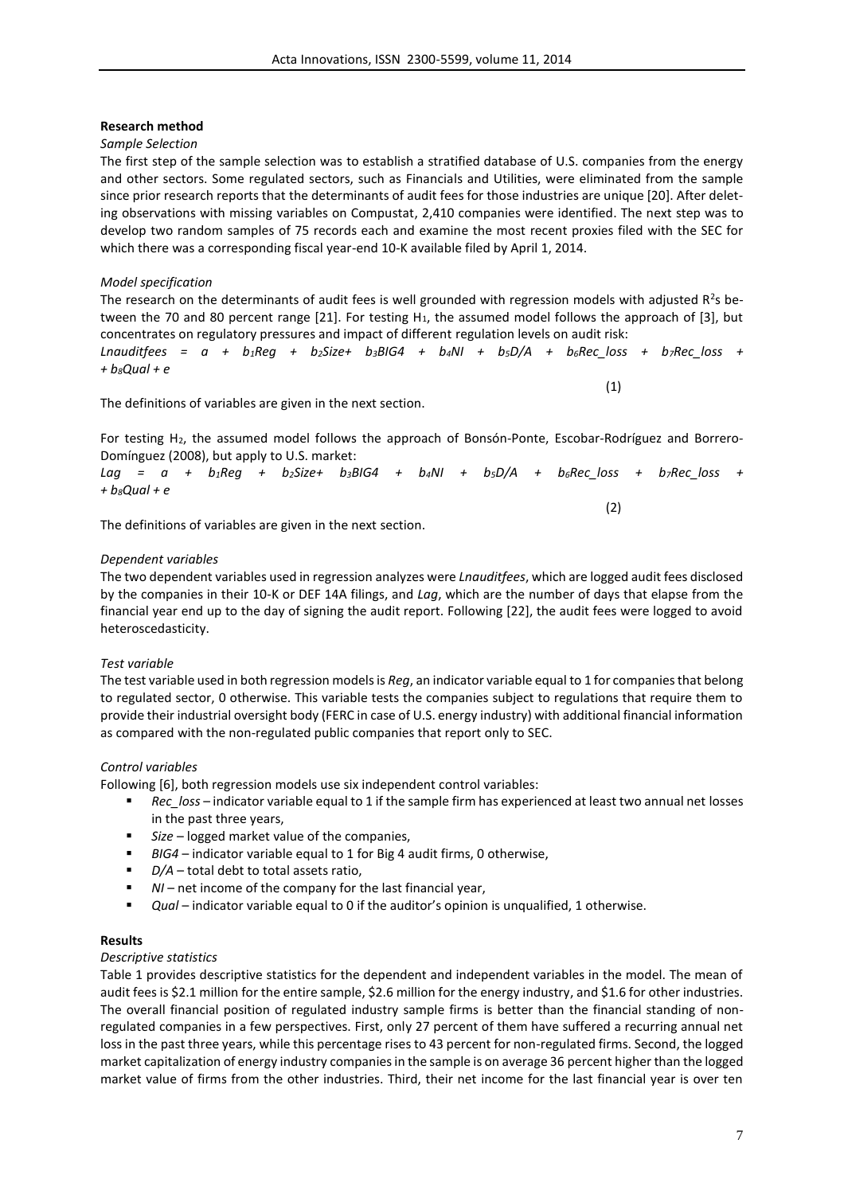#### **Research method**

#### *Sample Selection*

The first step of the sample selection was to establish a stratified database of U.S. companies from the energy and other sectors. Some regulated sectors, such as Financials and Utilities, were eliminated from the sample since prior research reports that the determinants of audit fees for those industries are unique [20]. After deleting observations with missing variables on Compustat, 2,410 companies were identified. The next step was to develop two random samples of 75 records each and examine the most recent proxies filed with the SEC for which there was a corresponding fiscal year-end 10-K available filed by April 1, 2014.

#### *Model specification*

The research on the determinants of audit fees is well grounded with regression models with adjusted  $R^2$ s between the 70 and 80 percent range [21]. For testing H<sub>1</sub>, the assumed model follows the approach of [3], but concentrates on regulatory pressures and impact of different regulation levels on audit risk:

*Lnauditfees = a + b1Reg + b2Size+ b3BIG4 + b4NI + b5D/A + b6Rec\_loss + b7Rec\_loss + + b8Qual + e*

The definitions of variables are given in the next section.

For testing H2, the assumed model follows the approach of Bonsón-Ponte, Escobar-Rodríguez and Borrero-Domínguez (2008), but apply to U.S. market:

*Lag = a + b1Reg + b2Size+ b3BIG4 + b4NI + b5D/A + b6Rec\_loss + b7Rec\_loss + + b8Qual + e*

The definitions of variables are given in the next section.

#### *Dependent variables*

The two dependent variables used in regression analyzes were *Lnauditfees*, which are logged audit fees disclosed by the companies in their 10-K or DEF 14A filings, and *Lag*, which are the number of days that elapse from the financial year end up to the day of signing the audit report. Following [22], the audit fees were logged to avoid heteroscedasticity.

#### *Test variable*

The test variable used in both regression models is *Reg*, an indicator variable equal to 1 for companies that belong to regulated sector, 0 otherwise. This variable tests the companies subject to regulations that require them to provide their industrial oversight body (FERC in case of U.S. energy industry) with additional financial information as compared with the non-regulated public companies that report only to SEC.

#### *Control variables*

Following [6], both regression models use six independent control variables:

- *Rec\_loss* indicator variable equal to 1 if the sample firm has experienced at least two annual net losses in the past three years,
- *Size* logged market value of the companies,
- *BIG4*  indicator variable equal to 1 for Big 4 audit firms, 0 otherwise,
- *D/A* total debt to total assets ratio,
- *NI*  net income of the company for the last financial year,
- **•** Qual indicator variable equal to 0 if the auditor's opinion is unqualified, 1 otherwise.

## **Results**

#### *Descriptive statistics*

Table 1 provides descriptive statistics for the dependent and independent variables in the model. The mean of audit fees is \$2.1 million for the entire sample, \$2.6 million for the energy industry, and \$1.6 for other industries. The overall financial position of regulated industry sample firms is better than the financial standing of nonregulated companies in a few perspectives. First, only 27 percent of them have suffered a recurring annual net loss in the past three years, while this percentage rises to 43 percent for non-regulated firms. Second, the logged market capitalization of energy industry companies in the sample is on average 36 percent higher than the logged market value of firms from the other industries. Third, their net income for the last financial year is over ten

(2)

(1)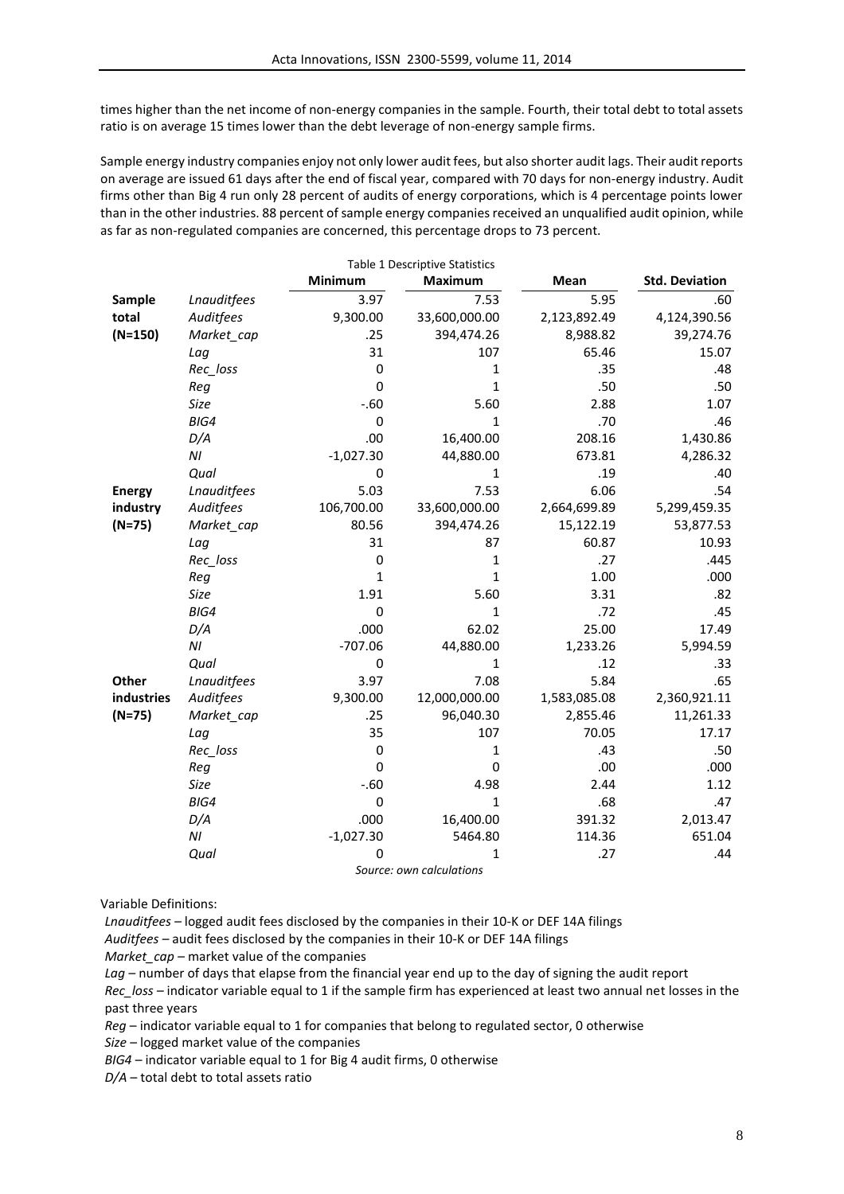times higher than the net income of non-energy companies in the sample. Fourth, their total debt to total assets ratio is on average 15 times lower than the debt leverage of non-energy sample firms.

Sample energy industry companies enjoy not only lower audit fees, but also shorter audit lags. Their audit reports on average are issued 61 days after the end of fiscal year, compared with 70 days for non-energy industry. Audit firms other than Big 4 run only 28 percent of audits of energy corporations, which is 4 percentage points lower than in the other industries. 88 percent of sample energy companies received an unqualified audit opinion, while as far as non-regulated companies are concerned, this percentage drops to 73 percent.

| Table 1 Descriptive Statistics |                         |              |                          |              |                       |  |  |  |  |
|--------------------------------|-------------------------|--------------|--------------------------|--------------|-----------------------|--|--|--|--|
|                                |                         | Minimum      | <b>Maximum</b>           | Mean         | <b>Std. Deviation</b> |  |  |  |  |
| Sample                         | <b>Lnauditfees</b>      | 3.97         | 7.53                     | 5.95         | .60                   |  |  |  |  |
| total                          | Auditfees               | 9,300.00     | 33,600,000.00            | 2,123,892.49 | 4,124,390.56          |  |  |  |  |
| $(N=150)$                      | Market cap              | .25          | 394,474.26               | 8,988.82     | 39,274.76             |  |  |  |  |
|                                | Lag                     | 31           | 107                      | 65.46        | 15.07                 |  |  |  |  |
|                                | Rec_loss                | 0            | 1                        | .35          | .48                   |  |  |  |  |
|                                | Reg                     | $\mathbf 0$  | $\mathbf{1}$             | .50          | .50                   |  |  |  |  |
|                                | Size                    | $-.60$       | 5.60                     | 2.88         | 1.07                  |  |  |  |  |
|                                | BIG4                    | 0            | 1                        | .70          | .46                   |  |  |  |  |
|                                | D/A                     | .00          | 16,400.00                | 208.16       | 1,430.86              |  |  |  |  |
|                                | ΝI                      | $-1,027.30$  | 44,880.00                | 673.81       | 4,286.32              |  |  |  |  |
|                                | Qual                    | 0            | 1                        | .19          | .40                   |  |  |  |  |
| <b>Energy</b>                  | Lnauditfees             | 5.03         | 7.53                     | 6.06         | .54                   |  |  |  |  |
| industry                       | Auditfees               | 106,700.00   | 33,600,000.00            | 2,664,699.89 | 5,299,459.35          |  |  |  |  |
| $(N=75)$                       | Market_cap              | 80.56        | 394,474.26               | 15,122.19    | 53,877.53             |  |  |  |  |
|                                | Lag                     | 31           | 87                       | 60.87        | 10.93                 |  |  |  |  |
|                                | Rec_loss                | $\pmb{0}$    | 1                        | .27          | .445                  |  |  |  |  |
|                                | Reg                     | $\mathbf{1}$ | 1                        | 1.00         | .000                  |  |  |  |  |
|                                | Size                    | 1.91         | 5.60                     | 3.31         | .82                   |  |  |  |  |
|                                | BIG4                    | $\mathbf 0$  | $\mathbf{1}$             | .72          | .45                   |  |  |  |  |
|                                | D/A                     | .000         | 62.02                    | 25.00        | 17.49                 |  |  |  |  |
|                                | ΝI                      | $-707.06$    | 44,880.00                | 1,233.26     | 5,994.59              |  |  |  |  |
|                                | Qual                    | $\pmb{0}$    | 1                        | .12          | .33                   |  |  |  |  |
| Other                          | Lnauditfees             | 3.97         | 7.08                     | 5.84         | .65                   |  |  |  |  |
| industries                     | Auditfees               | 9,300.00     | 12,000,000.00            | 1,583,085.08 | 2,360,921.11          |  |  |  |  |
| $(N=75)$                       | Market_cap              | .25          | 96,040.30                | 2,855.46     | 11,261.33             |  |  |  |  |
|                                | Lag                     | 35           | 107                      | 70.05        | 17.17                 |  |  |  |  |
|                                | Rec_loss                | 0            | 1                        | .43          | .50                   |  |  |  |  |
|                                | Reg                     | $\mathbf 0$  | 0                        | .00          | .000                  |  |  |  |  |
|                                | Size                    | $-.60$       | 4.98                     | 2.44         | 1.12                  |  |  |  |  |
|                                | BIG4                    | $\pmb{0}$    | $\mathbf{1}$             | .68          | .47                   |  |  |  |  |
|                                | D/A                     | .000         | 16,400.00                | 391.32       | 2,013.47              |  |  |  |  |
|                                | $\mathsf{N} \mathsf{I}$ | $-1,027.30$  | 5464.80                  | 114.36       | 651.04                |  |  |  |  |
|                                | Qual                    | 0            | 1                        | .27          | .44                   |  |  |  |  |
|                                |                         |              | Source: own calculations |              |                       |  |  |  |  |

Variable Definitions:

*Lnauditfees –* logged audit fees disclosed by the companies in their 10-K or DEF 14A filings

*Auditfees –* audit fees disclosed by the companies in their 10-K or DEF 14A filings

*Market\_cap* – market value of the companies

Lag – number of days that elapse from the financial year end up to the day of signing the audit report

*Rec\_loss –* indicator variable equal to 1 if the sample firm has experienced at least two annual net losses in the past three years

*Reg* – indicator variable equal to 1 for companies that belong to regulated sector, 0 otherwise

*Size* – logged market value of the companies

*BIG4* – indicator variable equal to 1 for Big 4 audit firms, 0 otherwise

*D/A* – total debt to total assets ratio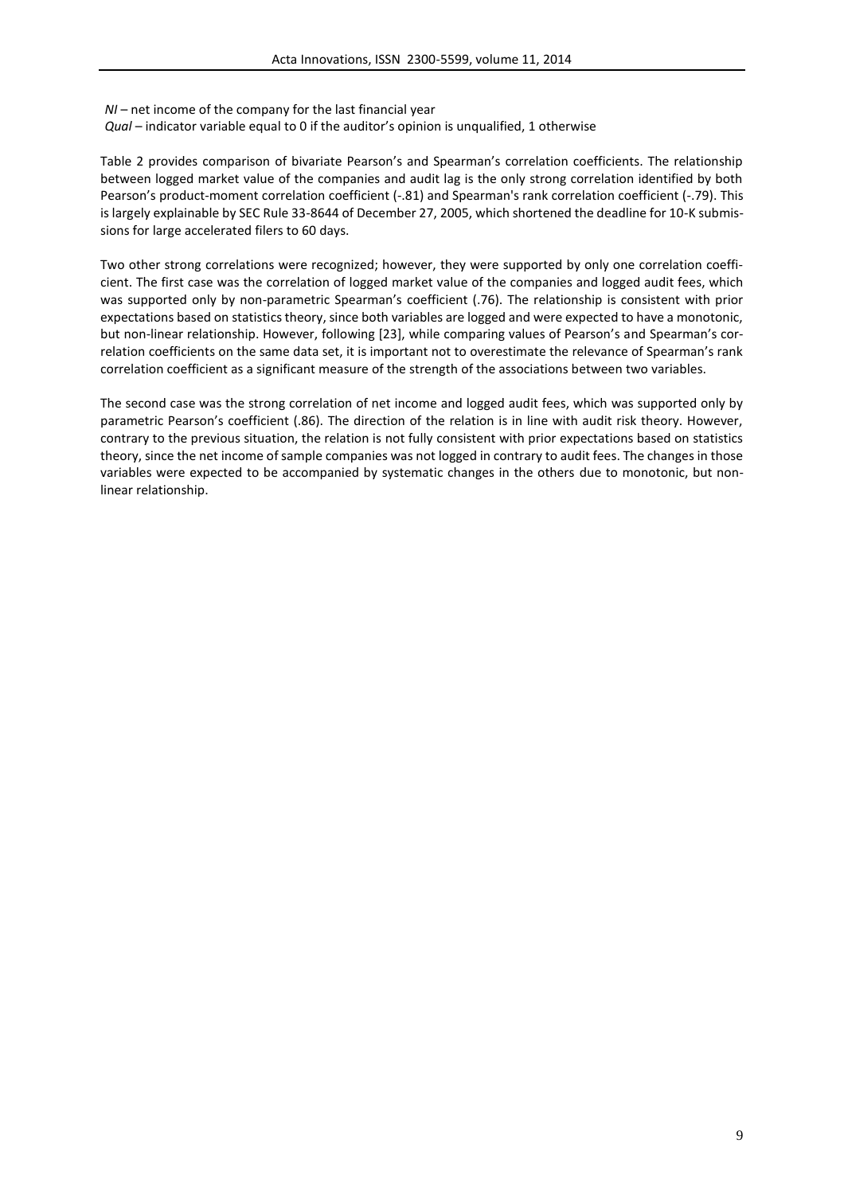*NI* – net income of the company for the last financial year

*Qual* – indicator variable equal to 0 if the auditor's opinion is unqualified, 1 otherwise

Table 2 provides comparison of bivariate Pearson's and Spearman's correlation coefficients. The relationship between logged market value of the companies and audit lag is the only strong correlation identified by both Pearson's product-moment correlation coefficient (-.81) and Spearman's rank correlation coefficient (-.79). This is largely explainable by SEC Rule 33-8644 of December 27, 2005, which shortened the deadline for 10-K submissions for large accelerated filers to 60 days.

Two other strong correlations were recognized; however, they were supported by only one correlation coefficient. The first case was the correlation of logged market value of the companies and logged audit fees, which was supported only by non-parametric Spearman's coefficient (.76). The relationship is consistent with prior expectations based on statistics theory, since both variables are logged and were expected to have a monotonic, but non-linear relationship. However, following [23], while comparing values of Pearson's and Spearman's correlation coefficients on the same data set, it is important not to overestimate the relevance of Spearman's rank correlation coefficient as a significant measure of the strength of the associations between two variables.

The second case was the strong correlation of net income and logged audit fees, which was supported only by parametric Pearson's coefficient (.86). The direction of the relation is in line with audit risk theory. However, contrary to the previous situation, the relation is not fully consistent with prior expectations based on statistics theory, since the net income of sample companies was not logged in contrary to audit fees. The changes in those variables were expected to be accompanied by systematic changes in the others due to monotonic, but nonlinear relationship.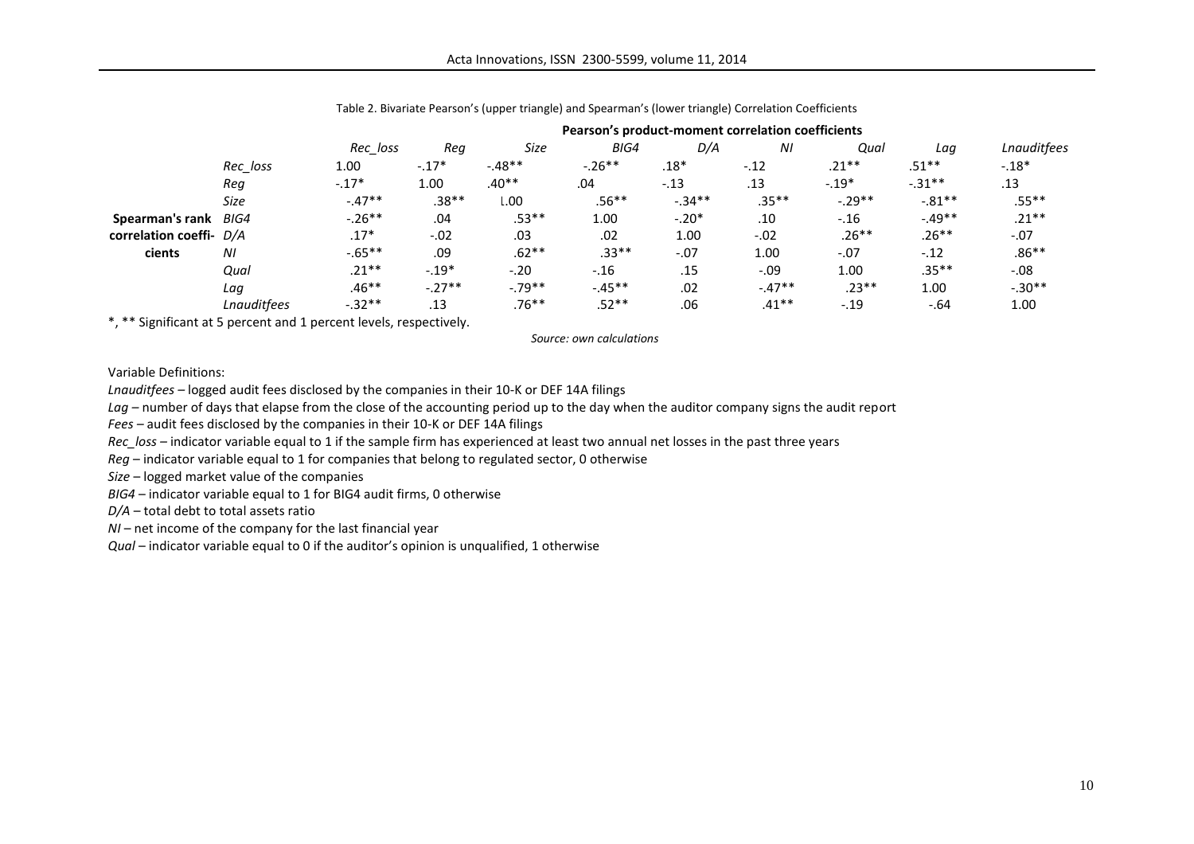|                         |                    | Pearson's product-moment correlation coefficients |          |          |          |          |         |          |          |             |
|-------------------------|--------------------|---------------------------------------------------|----------|----------|----------|----------|---------|----------|----------|-------------|
|                         |                    | Rec loss                                          | Rea      | Size     | BIG4     | D/A      | ΝI      | Qual     | Laa      | Lnauditfees |
|                         | Rec_loss           | 1.00                                              | $-.17*$  | $-.48**$ | $-.26**$ | $.18*$   | $-.12$  | $.21***$ | $.51**$  | $-.18*$     |
|                         | Rea                | $-.17*$                                           | 1.00     | $.40**$  | .04      | $-.13$   | .13     | $-.19*$  | $-.31**$ | .13         |
|                         | Size               | $-.47**$                                          | $.38**$  | L.00     | $.56**$  | $-.34**$ | $.35**$ | $-.29**$ | $-.81**$ | $.55***$    |
| Spearman's rank         | BIG4               | $-.26**$                                          | .04      | $.53**$  | 1.00     | $-.20*$  | .10     | $-.16$   | $-49**$  | $.21**$     |
| correlation coeffi- D/A |                    | $.17*$                                            | $-.02$   | .03      | .02      | 1.00     | $-.02$  | $.26**$  | $.26**$  | $-.07$      |
| cients                  | ΝI                 | $-0.65**$                                         | .09      | $.62**$  | $.33**$  | $-.07$   | 1.00    | $-.07$   | $-.12$   | $.86**$     |
|                         | Qual               | $.21***$                                          | $-.19*$  | $-.20$   | $-.16$   | .15      | $-.09$  | 1.00     | .35**    | $-0.08$     |
|                         | Laq                | $.46**$                                           | $-.27**$ | $-.79**$ | $-45**$  | .02      | $-47**$ | $.23**$  | 1.00     | $-.30**$    |
|                         | <b>Lnauditfees</b> | $-.32**$                                          | .13      | $.76***$ | $.52**$  | .06      | $.41**$ | $-.19$   | $-64$    | 1.00        |

Table 2. Bivariate Pearson's (upper triangle) and Spearman's (lower triangle) Correlation Coefficients

\*, \*\* Significant at 5 percent and 1 percent levels, respectively.

*Source: own calculations*

Variable Definitions:

*Lnauditfees –* logged audit fees disclosed by the companies in their 10-K or DEF 14A filings

Lag – number of days that elapse from the close of the accounting period up to the day when the auditor company signs the audit report

*Fees –* audit fees disclosed by the companies in their 10-K or DEF 14A filings

*Rec\_loss –* indicator variable equal to 1 if the sample firm has experienced at least two annual net losses in the past three years

*Reg* – indicator variable equal to 1 for companies that belong to regulated sector, 0 otherwise

*Size* – logged market value of the companies

*BIG4* – indicator variable equal to 1 for BIG4 audit firms, 0 otherwise

*D/A* – total debt to total assets ratio

*NI* – net income of the company for the last financial year

*Qual* – indicator variable equal to 0 if the auditor's opinion is unqualified, 1 otherwise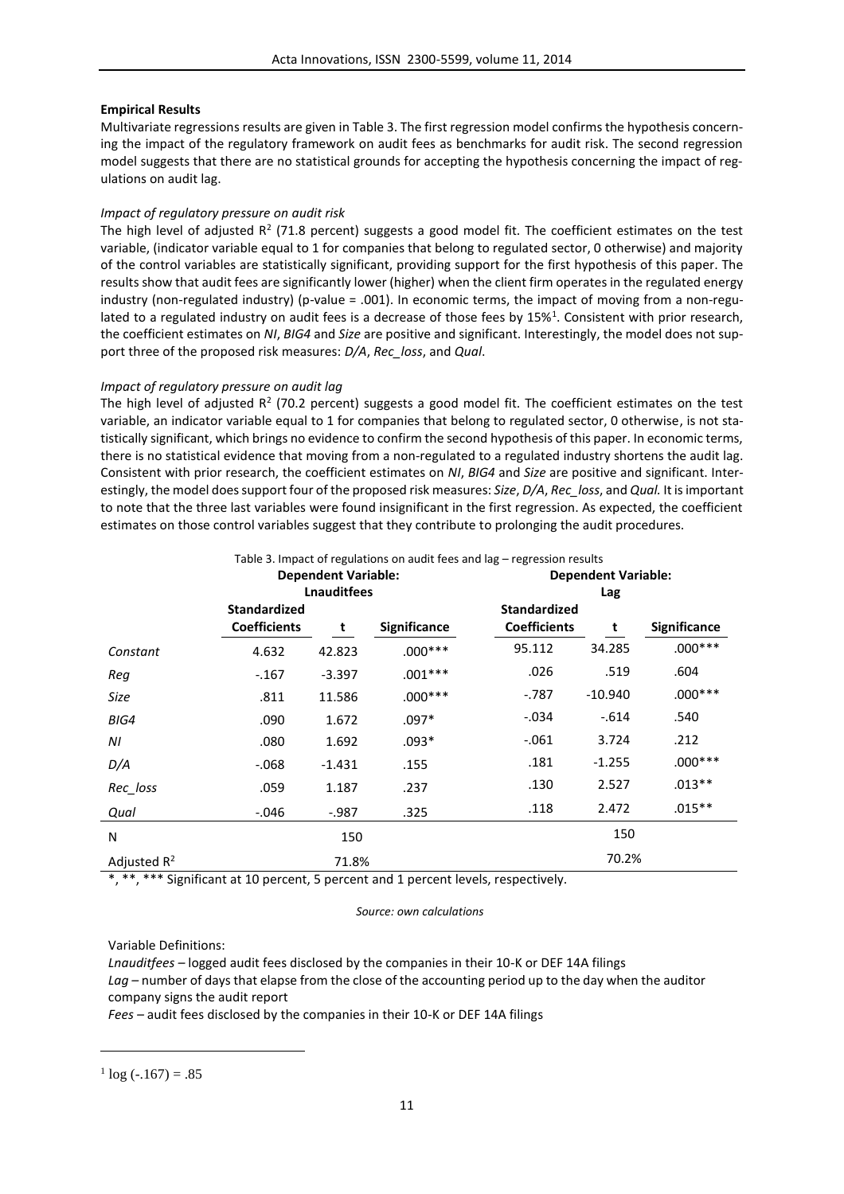## **Empirical Results**

Multivariate regressions results are given in Table 3. The first regression model confirms the hypothesis concerning the impact of the regulatory framework on audit fees as benchmarks for audit risk. The second regression model suggests that there are no statistical grounds for accepting the hypothesis concerning the impact of regulations on audit lag.

## *Impact of regulatory pressure on audit risk*

The high level of adjusted  $R^2$  (71.8 percent) suggests a good model fit. The coefficient estimates on the test variable, (indicator variable equal to 1 for companies that belong to regulated sector, 0 otherwise) and majority of the control variables are statistically significant, providing support for the first hypothesis of this paper. The results show that audit fees are significantly lower (higher) when the client firm operates in the regulated energy industry (non-regulated industry) (p-value = .001). In economic terms, the impact of moving from a non-regulated to a regulated industry on audit fees is a decrease of those fees by 15%<sup>1</sup>. Consistent with prior research, the coefficient estimates on *NI*, *BIG4* and *Size* are positive and significant. Interestingly, the model does not support three of the proposed risk measures: *D/A*, *Rec\_loss*, and *Qual*.

## *Impact of regulatory pressure on audit lag*

The high level of adjusted R<sup>2</sup> (70.2 percent) suggests a good model fit. The coefficient estimates on the test variable, an indicator variable equal to 1 for companies that belong to regulated sector, 0 otherwise, is not statistically significant, which brings no evidence to confirm the second hypothesis of this paper. In economic terms, there is no statistical evidence that moving from a non-regulated to a regulated industry shortens the audit lag. Consistent with prior research, the coefficient estimates on *NI*, *BIG4* and *Size* are positive and significant. Interestingly, the model does support four of the proposed risk measures: *Size*, *D/A*, *Rec\_loss*, and *Qual.* It is important to note that the three last variables were found insignificant in the first regression. As expected, the coefficient estimates on those control variables suggest that they contribute to prolonging the audit procedures.

|                |                                            | <b>Dependent Variable:</b> |                     | <b>Dependent Variable:</b><br>Lag          |           |                     |  |
|----------------|--------------------------------------------|----------------------------|---------------------|--------------------------------------------|-----------|---------------------|--|
|                |                                            | <b>Lnauditfees</b>         |                     |                                            |           |                     |  |
|                | <b>Standardized</b><br><b>Coefficients</b> | t                          | <b>Significance</b> | <b>Standardized</b><br><b>Coefficients</b> | t         | <b>Significance</b> |  |
| Constant       | 4.632                                      | 42.823                     | $.000***$           | 95.112                                     | 34.285    | $.000***$           |  |
| Req            | $-.167$                                    | $-3.397$                   | $.001***$           | .026                                       | .519      | .604                |  |
| Size           | .811                                       | 11.586                     | $.000***$           | $-0.787$                                   | $-10.940$ | $.000***$           |  |
| BIG4           | .090                                       | 1.672                      | $.097*$             | -.034                                      | $-614$    | .540                |  |
| ΝI             | .080                                       | 1.692                      | $.093*$             | $-.061$                                    | 3.724     | .212                |  |
| D/A            | $-068$                                     | $-1.431$                   | .155                | .181                                       | $-1.255$  | $.000***$           |  |
| Rec_loss       | .059                                       | 1.187                      | .237                | .130                                       | 2.527     | $.013**$            |  |
| Qual           | $-0.046$                                   | -.987                      | .325                | .118                                       | 2.472     | $.015**$            |  |
| N              |                                            | 150                        |                     |                                            | 150       |                     |  |
| Adjusted $R^2$ |                                            | 71.8%                      |                     |                                            | 70.2%     |                     |  |

Table 3. Impact of regulations on audit fees and lag – regression results

\*, \*\*, \*\*\* Significant at 10 percent, 5 percent and 1 percent levels, respectively.

#### *Source: own calculations*

Variable Definitions:

*Lnauditfees –* logged audit fees disclosed by the companies in their 10-K or DEF 14A filings Lag – number of days that elapse from the close of the accounting period up to the day when the auditor company signs the audit report

*Fees –* audit fees disclosed by the companies in their 10-K or DEF 14A filings

 $\overline{a}$ 

 $\log (-167) = .85$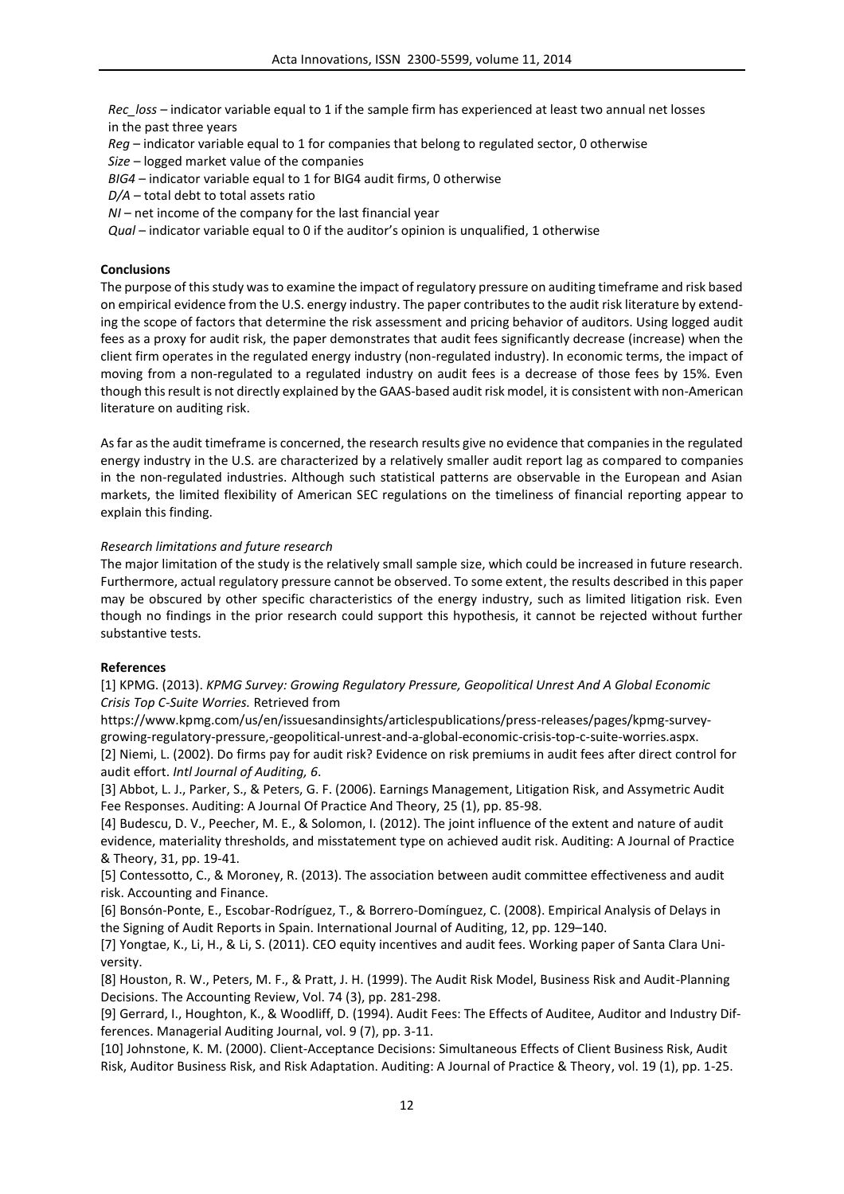*Rec\_loss –* indicator variable equal to 1 if the sample firm has experienced at least two annual net losses in the past three years

*Reg* – indicator variable equal to 1 for companies that belong to regulated sector, 0 otherwise

*Size* – logged market value of the companies

*BIG4* – indicator variable equal to 1 for BIG4 audit firms, 0 otherwise

*D/A* – total debt to total assets ratio

*NI* – net income of the company for the last financial year

*Qual* – indicator variable equal to 0 if the auditor's opinion is unqualified, 1 otherwise

## **Conclusions**

The purpose of this study was to examine the impact of regulatory pressure on auditing timeframe and risk based on empirical evidence from the U.S. energy industry. The paper contributes to the audit risk literature by extending the scope of factors that determine the risk assessment and pricing behavior of auditors. Using logged audit fees as a proxy for audit risk, the paper demonstrates that audit fees significantly decrease (increase) when the client firm operates in the regulated energy industry (non-regulated industry). In economic terms, the impact of moving from a non-regulated to a regulated industry on audit fees is a decrease of those fees by 15%. Even though this result is not directly explained by the GAAS-based audit risk model, it is consistent with non-American literature on auditing risk.

As far as the audit timeframe is concerned, the research results give no evidence that companies in the regulated energy industry in the U.S. are characterized by a relatively smaller audit report lag as compared to companies in the non-regulated industries. Although such statistical patterns are observable in the European and Asian markets, the limited flexibility of American SEC regulations on the timeliness of financial reporting appear to explain this finding.

## *Research limitations and future research*

The major limitation of the study is the relatively small sample size, which could be increased in future research. Furthermore, actual regulatory pressure cannot be observed. To some extent, the results described in this paper may be obscured by other specific characteristics of the energy industry, such as limited litigation risk. Even though no findings in the prior research could support this hypothesis, it cannot be rejected without further substantive tests.

## **References**

[1] KPMG. (2013). *KPMG Survey: Growing Regulatory Pressure, Geopolitical Unrest And A Global Economic Crisis Top C-Suite Worries.* Retrieved from

https://www.kpmg.com/us/en/issuesandinsights/articlespublications/press-releases/pages/kpmg-surveygrowing-regulatory-pressure,-geopolitical-unrest-and-a-global-economic-crisis-top-c-suite-worries.aspx. [2] Niemi, L. (2002). Do firms pay for audit risk? Evidence on risk premiums in audit fees after direct control for audit effort. *Intl Journal of Auditing, 6*.

[3] Abbot, L. J., Parker, S., & Peters, G. F. (2006). Earnings Management, Litigation Risk, and Assymetric Audit Fee Responses. Auditing: A Journal Of Practice And Theory, 25 (1), pp. 85-98.

[4] Budescu, D. V., Peecher, M. E., & Solomon, I. (2012). The joint influence of the extent and nature of audit evidence, materiality thresholds, and misstatement type on achieved audit risk. Auditing: A Journal of Practice & Theory, 31, pp. 19-41.

[5] Contessotto, C., & Moroney, R. (2013). The association between audit committee effectiveness and audit risk. Accounting and Finance.

[6] Bonsón-Ponte, E., Escobar-Rodríguez, T., & Borrero-Domínguez, C. (2008). Empirical Analysis of Delays in the Signing of Audit Reports in Spain. International Journal of Auditing, 12, pp. 129–140.

[7] Yongtae, K., Li, H., & Li, S. (2011). CEO equity incentives and audit fees. Working paper of Santa Clara University.

[8] Houston, R. W., Peters, M. F., & Pratt, J. H. (1999). The Audit Risk Model, Business Risk and Audit-Planning Decisions. The Accounting Review, Vol. 74 (3), pp. 281-298.

[9] Gerrard, I., Houghton, K., & Woodliff, D. (1994). Audit Fees: The Effects of Auditee, Auditor and Industry Differences. Managerial Auditing Journal, vol. 9 (7), pp. 3-11.

[10] Johnstone, K. M. (2000). Client-Acceptance Decisions: Simultaneous Effects of Client Business Risk, Audit Risk, Auditor Business Risk, and Risk Adaptation. Auditing: A Journal of Practice & Theory, vol. 19 (1), pp. 1-25.